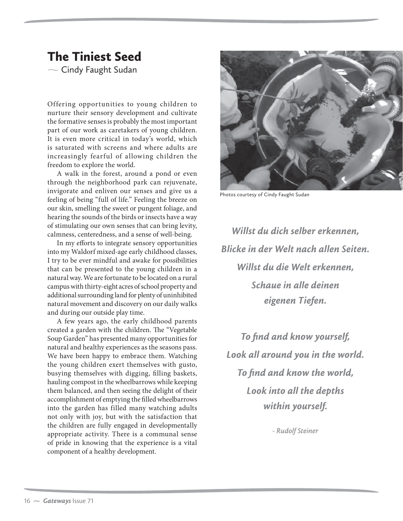## The Tiniest Seed

 $\sim$  Cindy Faught Sudan

Offering opportunities to young children to nurture their sensory development and cultivate the formative senses is probably the most important part of our work as caretakers of young children. It is even more critical in today's world, which is saturated with screens and where adults are increasingly fearful of allowing children the freedom to explore the world.

A walk in the forest, around a pond or even through the neighborhood park can rejuvenate, invigorate and enliven our senses and give us a feeling of being "full of life." Feeling the breeze on our skin, smelling the sweet or pungent foliage, and hearing the sounds of the birds or insects have a way of stimulating our own senses that can bring levity, calmness, centeredness, and a sense of well-being.

In my efforts to integrate sensory opportunities into my Waldorf mixed-age early childhood classes, I try to be ever mindful and awake for possibilities that can be presented to the young children in a natural way. We are fortunate to be located on a rural campus with thirty-eight acres of school property and additional surrounding land for plenty of uninhibited natural movement and discovery on our daily walks and during our outside play time.

A few years ago, the early childhood parents created a garden with the children. The "Vegetable Soup Garden" has presented many opportunities for natural and healthy experiences as the seasons pass. We have been happy to embrace them. Watching the young children exert themselves with gusto, busying themselves with digging, filling baskets, hauling compost in the wheelbarrows while keeping them balanced, and then seeing the delight of their accomplishment of emptying the filled wheelbarrows into the garden has filled many watching adults not only with joy, but with the satisfaction that the children are fully engaged in developmentally appropriate activity. There is a communal sense of pride in knowing that the experience is a vital component of a healthy development.



Photos courtesy of Cindy Faught Sudan

*Willst du dich selber erkennen, Blicke in der Welt nach allen Seiten. Willst du die Welt erkennen, Schaue in alle deinen eigenen Tiefen.*

*To find and know yourself, Look all around you in the world. To find and know the world, Look into all the depths within yourself.*

*- Rudolf Steiner*